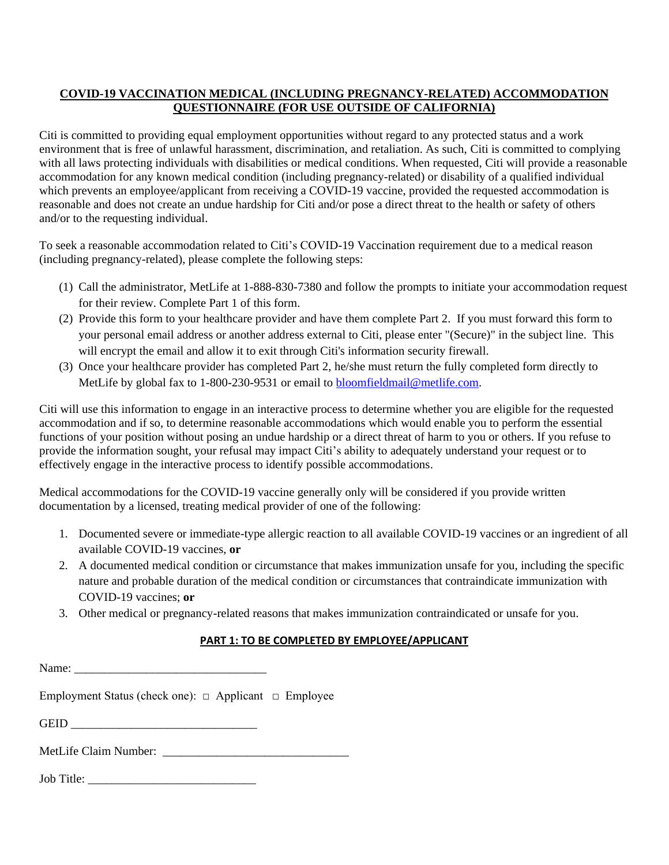## **COVID-19 VACCINATION MEDICAL (INCLUDING PREGNANCY-RELATED) ACCOMMODATION QUESTIONNAIRE (FOR USE OUTSIDE OF CALIFORNIA)**

Citi is committed to providing equal employment opportunities without regard to any protected status and a work environment that is free of unlawful harassment, discrimination, and retaliation. As such, Citi is committed to complying with all laws protecting individuals with disabilities or medical conditions. When requested, Citi will provide a reasonable accommodation for any known medical condition (including pregnancy-related) or disability of a qualified individual which prevents an employee/applicant from receiving a COVID-19 vaccine, provided the requested accommodation is reasonable and does not create an undue hardship for Citi and/or pose a direct threat to the health or safety of others and/or to the requesting individual.

To seek a reasonable accommodation related to Citi's COVID-19 Vaccination requirement due to a medical reason (including pregnancy-related), please complete the following steps:

- (1) Call the administrator, MetLife at 1-888-830-7380 and follow the prompts to initiate your accommodation request for their review. Complete Part 1 of this form.
- (2) Provide this form to your healthcare provider and have them complete Part 2. If you must forward this form to your personal email address or another address external to Citi, please enter "(Secure)" in the subject line. This will encrypt the email and allow it to exit through Citi's information security firewall.
- (3) Once your healthcare provider has completed Part 2, he/she must return the fully completed form directly to MetLife by global fax to 1-800-230-9531 or email to [bloomfieldmail@metlife.com.](mailto:bloomfieldmail@metlife.com)

Citi will use this information to engage in an interactive process to determine whether you are eligible for the requested accommodation and if so, to determine reasonable accommodations which would enable you to perform the essential functions of your position without posing an undue hardship or a direct threat of harm to you or others. If you refuse to provide the information sought, your refusal may impact Citi's ability to adequately understand your request or to effectively engage in the interactive process to identify possible accommodations.

Medical accommodations for the COVID-19 vaccine generally only will be considered if you provide written documentation by a licensed, treating medical provider of one of the following:

- 1. Documented severe or immediate-type allergic reaction to all available COVID-19 vaccines or an ingredient of all available COVID-19 vaccines, **or**
- 2. A documented medical condition or circumstance that makes immunization unsafe for you, including the specific nature and probable duration of the medical condition or circumstances that contraindicate immunization with COVID-19 vaccines; **or**
- 3. Other medical or pregnancy-related reasons that makes immunization contraindicated or unsafe for you.

## **PART 1: TO BE COMPLETED BY EMPLOYEE/APPLICANT**

Name: Employment Status (check one): □ Applicant □ Employee

GEID  $\Box$ 

MetLife Claim Number: \_\_\_\_\_\_\_\_\_\_\_\_\_\_\_\_\_\_\_\_\_\_\_\_\_\_\_\_\_\_\_

Job Title: \_\_\_\_\_\_\_\_\_\_\_\_\_\_\_\_\_\_\_\_\_\_\_\_\_\_\_\_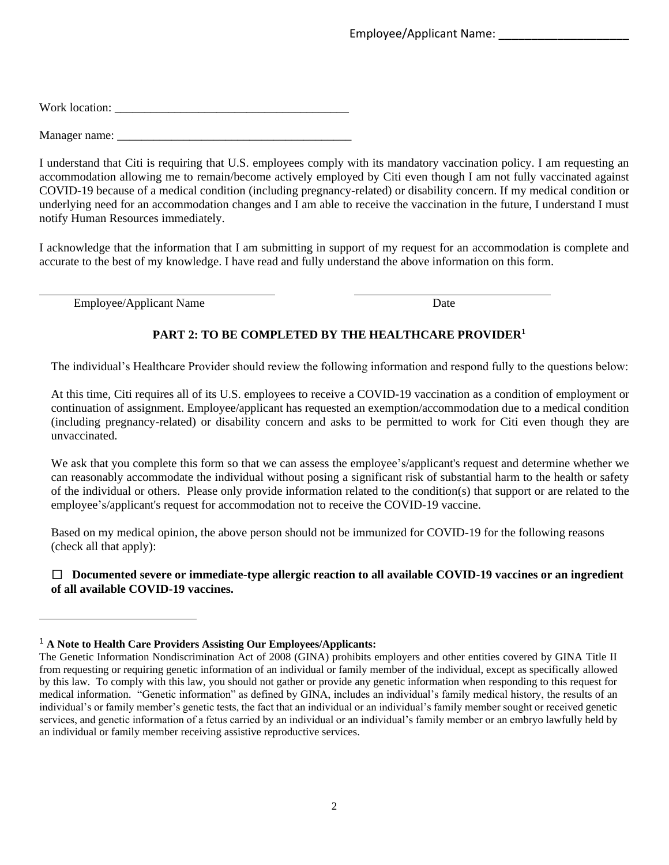Work location: \_\_\_\_\_\_\_\_\_\_\_\_\_\_\_\_\_\_\_\_\_\_\_\_\_\_\_\_\_\_\_\_\_\_\_\_\_\_\_

Manager name:

I understand that Citi is requiring that U.S. employees comply with its mandatory vaccination policy. I am requesting an accommodation allowing me to remain/become actively employed by Citi even though I am not fully vaccinated against COVID-19 because of a medical condition (including pregnancy-related) or disability concern. If my medical condition or underlying need for an accommodation changes and I am able to receive the vaccination in the future, I understand I must notify Human Resources immediately.

I acknowledge that the information that I am submitting in support of my request for an accommodation is complete and accurate to the best of my knowledge. I have read and fully understand the above information on this form.

Employee/Applicant Name Date

## **PART 2: TO BE COMPLETED BY THE HEALTHCARE PROVIDER<sup>1</sup>**

The individual's Healthcare Provider should review the following information and respond fully to the questions below:

At this time, Citi requires all of its U.S. employees to receive a COVID-19 vaccination as a condition of employment or continuation of assignment. Employee/applicant has requested an exemption/accommodation due to a medical condition (including pregnancy-related) or disability concern and asks to be permitted to work for Citi even though they are unvaccinated.

We ask that you complete this form so that we can assess the employee's/applicant's request and determine whether we can reasonably accommodate the individual without posing a significant risk of substantial harm to the health or safety of the individual or others. Please only provide information related to the condition(s) that support or are related to the employee's/applicant's request for accommodation not to receive the COVID-19 vaccine.

Based on my medical opinion, the above person should not be immunized for COVID-19 for the following reasons (check all that apply):

☐ **Documented severe or immediate-type allergic reaction to all available COVID-19 vaccines or an ingredient of all available COVID-19 vaccines.** 

<sup>1</sup> **A Note to Health Care Providers Assisting Our Employees/Applicants:**

The Genetic Information Nondiscrimination Act of 2008 (GINA) prohibits employers and other entities covered by GINA Title II from requesting or requiring genetic information of an individual or family member of the individual, except as specifically allowed by this law. To comply with this law, you should not gather or provide any genetic information when responding to this request for medical information. "Genetic information" as defined by GINA, includes an individual's family medical history, the results of an individual's or family member's genetic tests, the fact that an individual or an individual's family member sought or received genetic services, and genetic information of a fetus carried by an individual or an individual's family member or an embryo lawfully held by an individual or family member receiving assistive reproductive services.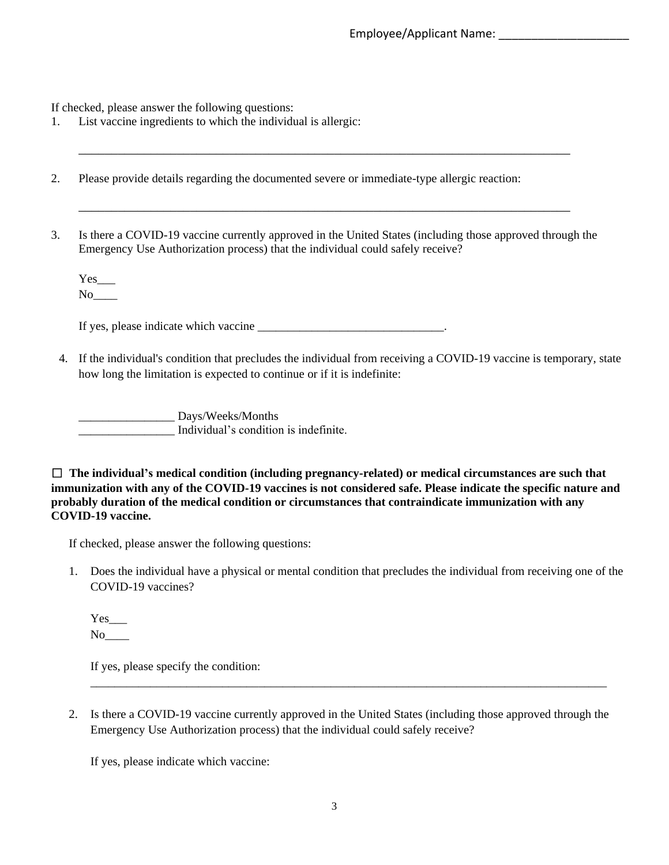If checked, please answer the following questions:

- 1. List vaccine ingredients to which the individual is allergic:
- 2. Please provide details regarding the documented severe or immediate-type allergic reaction:
- 3. Is there a COVID-19 vaccine currently approved in the United States (including those approved through the Emergency Use Authorization process) that the individual could safely receive?

\_\_\_\_\_\_\_\_\_\_\_\_\_\_\_\_\_\_\_\_\_\_\_\_\_\_\_\_\_\_\_\_\_\_\_\_\_\_\_\_\_\_\_\_\_\_\_\_\_\_\_\_\_\_\_\_\_\_\_\_\_\_\_\_\_\_\_\_\_\_\_\_\_\_\_

\_\_\_\_\_\_\_\_\_\_\_\_\_\_\_\_\_\_\_\_\_\_\_\_\_\_\_\_\_\_\_\_\_\_\_\_\_\_\_\_\_\_\_\_\_\_\_\_\_\_\_\_\_\_\_\_\_\_\_\_\_\_\_\_\_\_\_\_\_\_\_\_\_\_\_

Yes  $No$ 

If yes, please indicate which vaccine  $\blacksquare$ 

4. If the individual's condition that precludes the individual from receiving a COVID-19 vaccine is temporary, state how long the limitation is expected to continue or if it is indefinite:

\_\_\_\_\_\_\_\_\_\_\_\_\_\_\_\_ Days/Weeks/Months \_\_\_\_\_\_\_\_\_\_\_\_\_\_\_\_ Individual's condition is indefinite.

☐ **The individual's medical condition (including pregnancy-related) or medical circumstances are such that immunization with any of the COVID-19 vaccines is not considered safe. Please indicate the specific nature and probably duration of the medical condition or circumstances that contraindicate immunization with any COVID-19 vaccine.**

If checked, please answer the following questions:

1. Does the individual have a physical or mental condition that precludes the individual from receiving one of the COVID-19 vaccines?

Yes  $No$ <sub>\_\_\_\_\_</sub>

If yes, please specify the condition:

2. Is there a COVID-19 vaccine currently approved in the United States (including those approved through the Emergency Use Authorization process) that the individual could safely receive?

\_\_\_\_\_\_\_\_\_\_\_\_\_\_\_\_\_\_\_\_\_\_\_\_\_\_\_\_\_\_\_\_\_\_\_\_\_\_\_\_\_\_\_\_\_\_\_\_\_\_\_\_\_\_\_\_\_\_\_\_\_\_\_\_\_\_\_\_\_\_\_\_\_\_\_\_\_\_\_\_\_\_\_\_\_\_

If yes, please indicate which vaccine: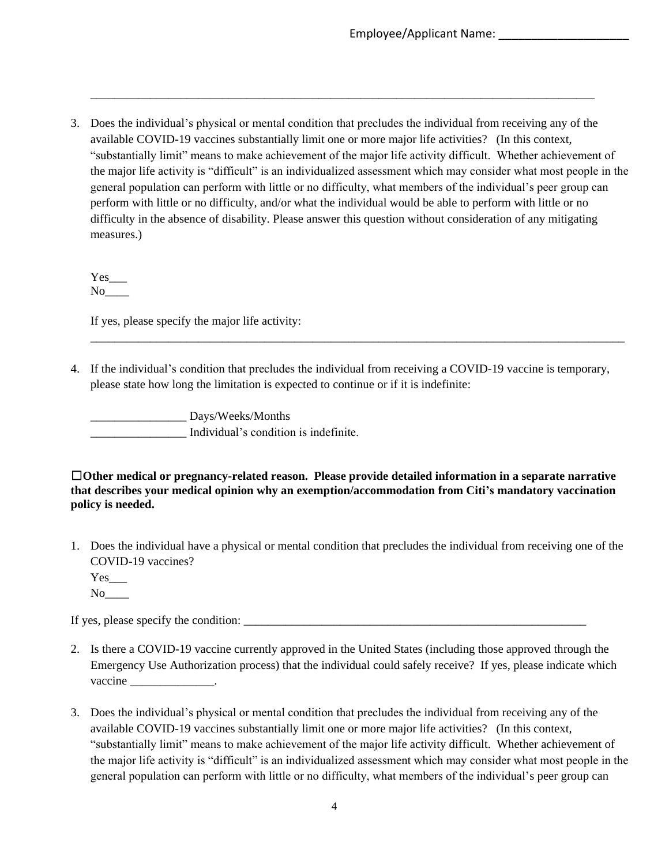3. Does the individual's physical or mental condition that precludes the individual from receiving any of the available COVID-19 vaccines substantially limit one or more major life activities? (In this context, "substantially limit" means to make achievement of the major life activity difficult. Whether achievement of the major life activity is "difficult" is an individualized assessment which may consider what most people in the general population can perform with little or no difficulty, what members of the individual's peer group can perform with little or no difficulty, and/or what the individual would be able to perform with little or no difficulty in the absence of disability. Please answer this question without consideration of any mitigating measures.)

\_\_\_\_\_\_\_\_\_\_\_\_\_\_\_\_\_\_\_\_\_\_\_\_\_\_\_\_\_\_\_\_\_\_\_\_\_\_\_\_\_\_\_\_\_\_\_\_\_\_\_\_\_\_\_\_\_\_\_\_\_\_\_\_\_\_\_\_\_\_\_\_\_\_\_\_\_\_\_\_\_\_\_\_

Yes No<sub>l</sub>

If yes, please specify the major life activity:

4. If the individual's condition that precludes the individual from receiving a COVID-19 vaccine is temporary, please state how long the limitation is expected to continue or if it is indefinite:

\_\_\_\_\_\_\_\_\_\_\_\_\_\_\_\_\_\_\_\_\_\_\_\_\_\_\_\_\_\_\_\_\_\_\_\_\_\_\_\_\_\_\_\_\_\_\_\_\_\_\_\_\_\_\_\_\_\_\_\_\_\_\_\_\_\_\_\_\_\_\_\_\_\_\_\_\_\_\_\_\_\_\_\_\_\_\_\_\_

Days/Weeks/Months \_\_\_\_\_\_\_\_\_\_\_\_\_\_\_\_ Individual's condition is indefinite.

☐**Other medical or pregnancy-related reason. Please provide detailed information in a separate narrative that describes your medical opinion why an exemption/accommodation from Citi's mandatory vaccination policy is needed.** 

1. Does the individual have a physical or mental condition that precludes the individual from receiving one of the COVID-19 vaccines?

Yes No<sub>1</sub>

If yes, please specify the condition:

- 2. Is there a COVID-19 vaccine currently approved in the United States (including those approved through the Emergency Use Authorization process) that the individual could safely receive? If yes, please indicate which  $vaccine$  \_\_\_\_\_\_\_\_\_\_\_\_\_\_\_.
- 3. Does the individual's physical or mental condition that precludes the individual from receiving any of the available COVID-19 vaccines substantially limit one or more major life activities? (In this context, "substantially limit" means to make achievement of the major life activity difficult. Whether achievement of the major life activity is "difficult" is an individualized assessment which may consider what most people in the general population can perform with little or no difficulty, what members of the individual's peer group can